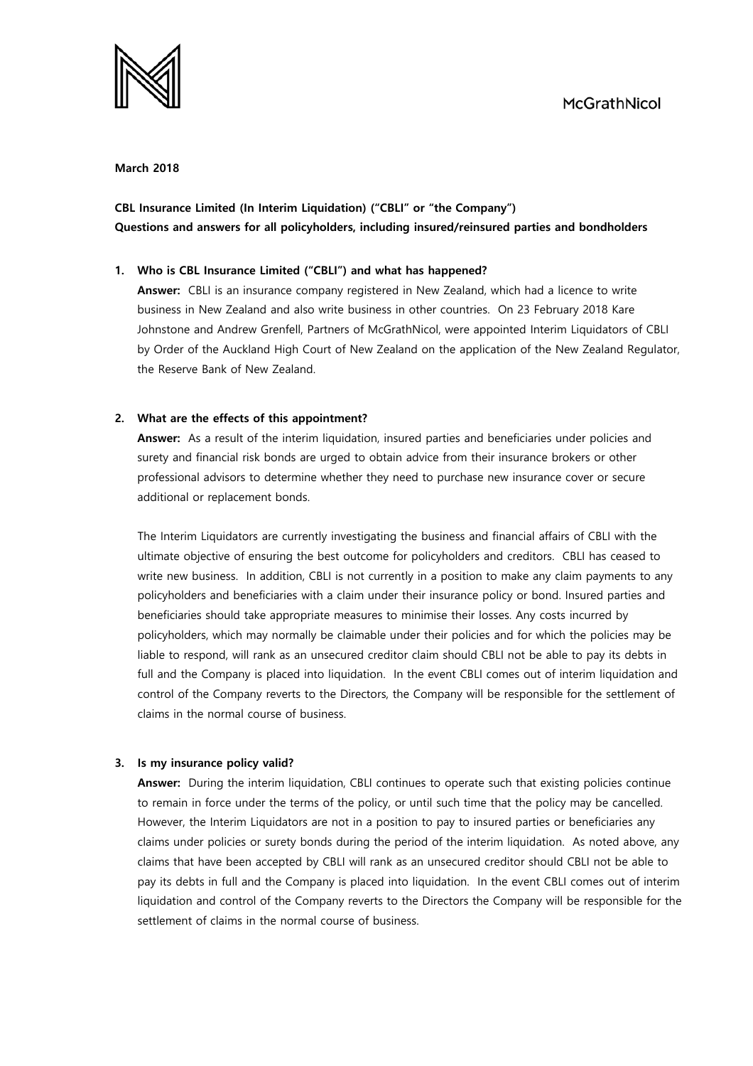

#### **March 2018**

# **CBL Insurance Limited (In Interim Liquidation) ("CBLI" or "the Company") Questions and answers for all policyholders, including insured/reinsured parties and bondholders**

#### **1. Who is CBL Insurance Limited ("CBLI") and what has happened?**

**Answer:** CBLI is an insurance company registered in New Zealand, which had a licence to write business in New Zealand and also write business in other countries. On 23 February 2018 Kare Johnstone and Andrew Grenfell, Partners of McGrathNicol, were appointed Interim Liquidators of CBLI by Order of the Auckland High Court of New Zealand on the application of the New Zealand Regulator, the Reserve Bank of New Zealand.

#### **2. What are the effects of this appointment?**

**Answer:** As a result of the interim liquidation, insured parties and beneficiaries under policies and surety and financial risk bonds are urged to obtain advice from their insurance brokers or other professional advisors to determine whether they need to purchase new insurance cover or secure additional or replacement bonds.

The Interim Liquidators are currently investigating the business and financial affairs of CBLI with the ultimate objective of ensuring the best outcome for policyholders and creditors. CBLI has ceased to write new business. In addition, CBLI is not currently in a position to make any claim payments to any policyholders and beneficiaries with a claim under their insurance policy or bond. Insured parties and beneficiaries should take appropriate measures to minimise their losses. Any costs incurred by policyholders, which may normally be claimable under their policies and for which the policies may be liable to respond, will rank as an unsecured creditor claim should CBLI not be able to pay its debts in full and the Company is placed into liquidation. In the event CBLI comes out of interim liquidation and control of the Company reverts to the Directors, the Company will be responsible for the settlement of claims in the normal course of business.

### **3. Is my insurance policy valid?**

**Answer:** During the interim liquidation, CBLI continues to operate such that existing policies continue to remain in force under the terms of the policy, or until such time that the policy may be cancelled. However, the Interim Liquidators are not in a position to pay to insured parties or beneficiaries any claims under policies or surety bonds during the period of the interim liquidation. As noted above, any claims that have been accepted by CBLI will rank as an unsecured creditor should CBLI not be able to pay its debts in full and the Company is placed into liquidation. In the event CBLI comes out of interim liquidation and control of the Company reverts to the Directors the Company will be responsible for the settlement of claims in the normal course of business.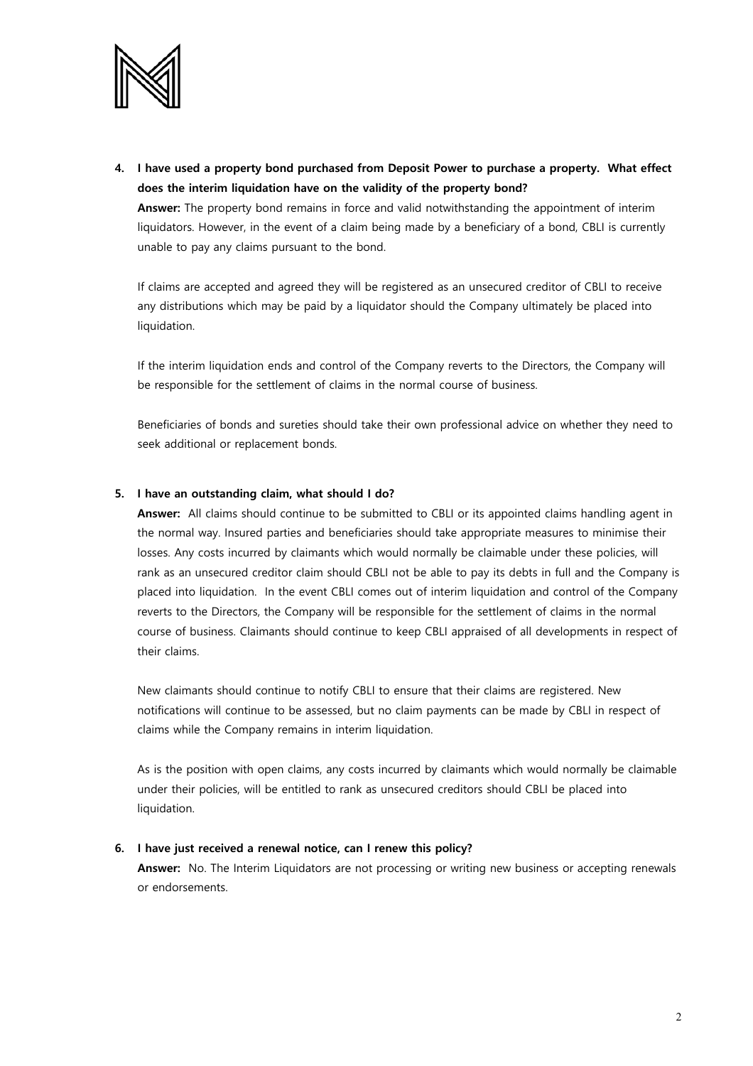

**4. I have used a property bond purchased from Deposit Power to purchase a property. What effect does the interim liquidation have on the validity of the property bond?**

**Answer:** The property bond remains in force and valid notwithstanding the appointment of interim liquidators. However, in the event of a claim being made by a beneficiary of a bond, CBLI is currently unable to pay any claims pursuant to the bond.

If claims are accepted and agreed they will be registered as an unsecured creditor of CBLI to receive any distributions which may be paid by a liquidator should the Company ultimately be placed into liquidation.

If the interim liquidation ends and control of the Company reverts to the Directors, the Company will be responsible for the settlement of claims in the normal course of business.

Beneficiaries of bonds and sureties should take their own professional advice on whether they need to seek additional or replacement bonds.

#### **5. I have an outstanding claim, what should I do?**

**Answer:** All claims should continue to be submitted to CBLI or its appointed claims handling agent in the normal way. Insured parties and beneficiaries should take appropriate measures to minimise their losses. Any costs incurred by claimants which would normally be claimable under these policies, will rank as an unsecured creditor claim should CBLI not be able to pay its debts in full and the Company is placed into liquidation. In the event CBLI comes out of interim liquidation and control of the Company reverts to the Directors, the Company will be responsible for the settlement of claims in the normal course of business. Claimants should continue to keep CBLI appraised of all developments in respect of their claims.

New claimants should continue to notify CBLI to ensure that their claims are registered. New notifications will continue to be assessed, but no claim payments can be made by CBLI in respect of claims while the Company remains in interim liquidation.

As is the position with open claims, any costs incurred by claimants which would normally be claimable under their policies, will be entitled to rank as unsecured creditors should CBLI be placed into liquidation.

#### **6. I have just received a renewal notice, can I renew this policy?**

**Answer:** No. The Interim Liquidators are not processing or writing new business or accepting renewals or endorsements.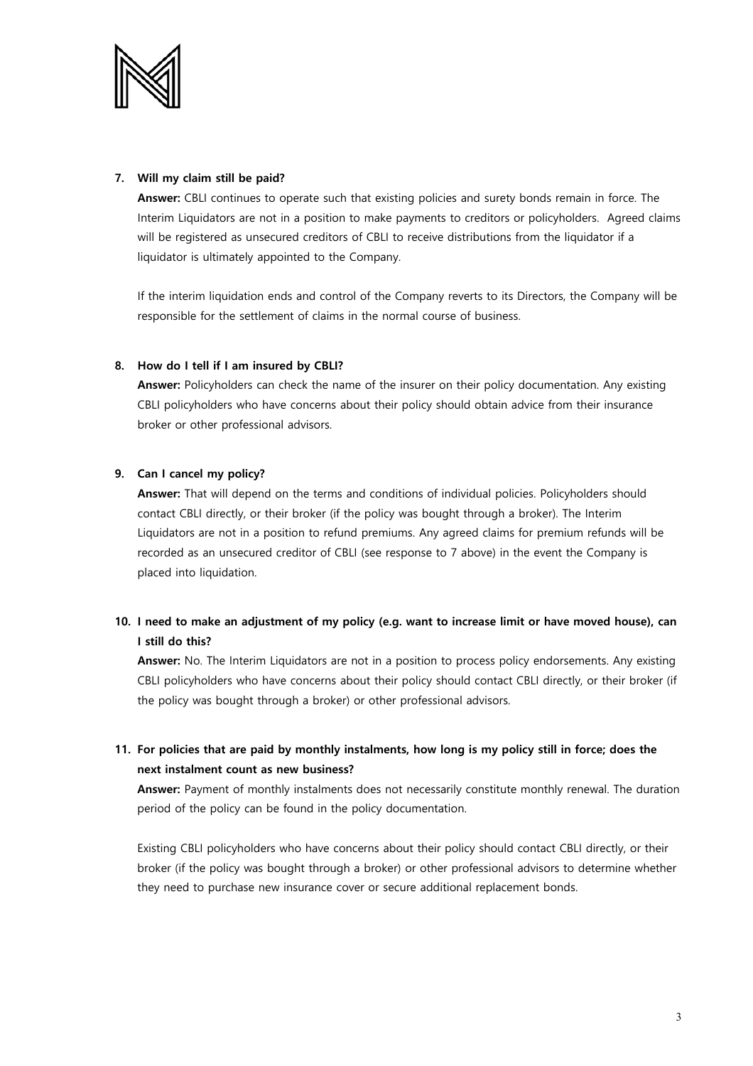

### **7. Will my claim still be paid?**

**Answer:** CBLI continues to operate such that existing policies and surety bonds remain in force. The Interim Liquidators are not in a position to make payments to creditors or policyholders. Agreed claims will be registered as unsecured creditors of CBLI to receive distributions from the liquidator if a liquidator is ultimately appointed to the Company.

If the interim liquidation ends and control of the Company reverts to its Directors, the Company will be responsible for the settlement of claims in the normal course of business.

## **8. How do I tell if I am insured by CBLI?**

**Answer:** Policyholders can check the name of the insurer on their policy documentation. Any existing CBLI policyholders who have concerns about their policy should obtain advice from their insurance broker or other professional advisors.

## **9. Can I cancel my policy?**

**Answer:** That will depend on the terms and conditions of individual policies. Policyholders should contact CBLI directly, or their broker (if the policy was bought through a broker). The Interim Liquidators are not in a position to refund premiums. Any agreed claims for premium refunds will be recorded as an unsecured creditor of CBLI (see response to 7 above) in the event the Company is placed into liquidation.

# **10. I need to make an adjustment of my policy (e.g. want to increase limit or have moved house), can I still do this?**

**Answer:** No. The Interim Liquidators are not in a position to process policy endorsements. Any existing CBLI policyholders who have concerns about their policy should contact CBLI directly, or their broker (if the policy was bought through a broker) or other professional advisors.

# **11. For policies that are paid by monthly instalments, how long is my policy still in force; does the next instalment count as new business?**

**Answer:** Payment of monthly instalments does not necessarily constitute monthly renewal. The duration period of the policy can be found in the policy documentation.

Existing CBLI policyholders who have concerns about their policy should contact CBLI directly, or their broker (if the policy was bought through a broker) or other professional advisors to determine whether they need to purchase new insurance cover or secure additional replacement bonds.